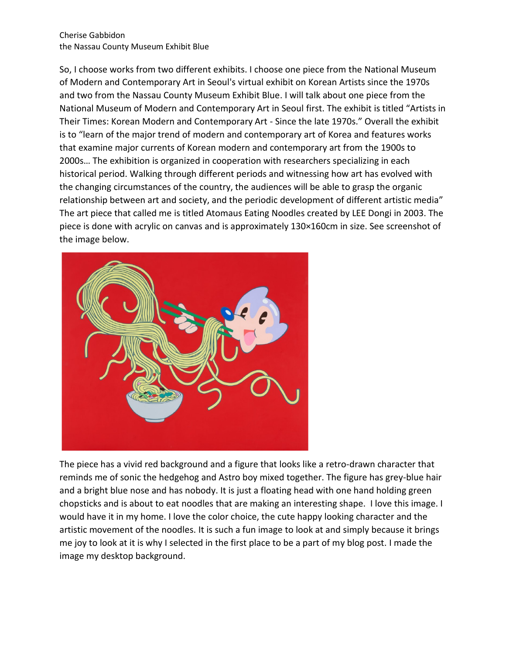Cherise Gabbidon the Nassau County Museum Exhibit Blue

So, I choose works from two different exhibits. I choose one piece from the National Museum of Modern and Contemporary Art in Seoul's virtual exhibit on Korean Artists since the 1970s and two from the Nassau County Museum Exhibit Blue. I will talk about one piece from the National Museum of Modern and Contemporary Art in Seoul first. The exhibit is titled "Artists in Their Times: Korean Modern and Contemporary Art - Since the late 1970s." Overall the exhibit is to "learn of the major trend of modern and contemporary art of Korea and features works that examine major currents of Korean modern and contemporary art from the 1900s to 2000s… The exhibition is organized in cooperation with researchers specializing in each historical period. Walking through different periods and witnessing how art has evolved with the changing circumstances of the country, the audiences will be able to grasp the organic relationship between art and society, and the periodic development of different artistic media" The art piece that called me is titled Atomaus Eating Noodles created by LEE Dongi in 2003. The piece is done with acrylic on canvas and is approximately 130×160cm in size. See screenshot of the image below.



The piece has a vivid red background and a figure that looks like a retro-drawn character that reminds me of sonic the hedgehog and Astro boy mixed together. The figure has grey-blue hair and a bright blue nose and has nobody. It is just a floating head with one hand holding green chopsticks and is about to eat noodles that are making an interesting shape. I love this image. I would have it in my home. I love the color choice, the cute happy looking character and the artistic movement of the noodles. It is such a fun image to look at and simply because it brings me joy to look at it is why I selected in the first place to be a part of my blog post. I made the image my desktop background.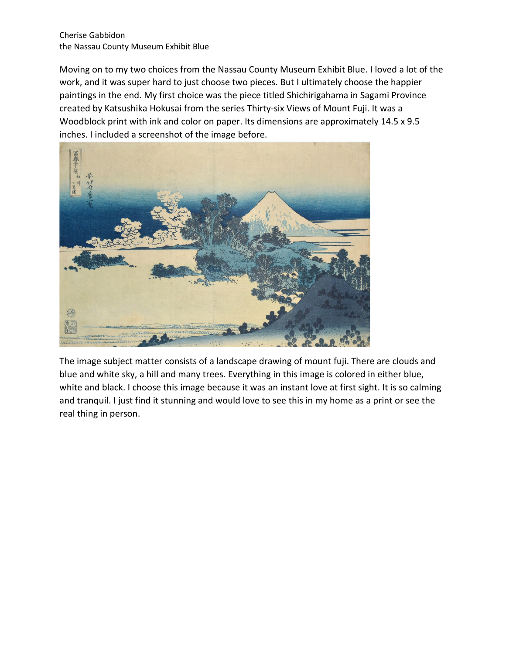## Cherise Gabbidon the Nassau County Museum Exhibit Blue

Moving on to my two choices from the Nassau County Museum Exhibit Blue. I loved a lot of the work, and it was super hard to just choose two pieces. But I ultimately choose the happier paintings in the end. My first choice was the piece titled Shichirigahama in Sagami Province created by Katsushika Hokusai from the series Thirty-six Views of Mount Fuji. It was a Woodblock print with ink and color on paper. Its dimensions are approximately 14.5 x 9.5 inches. I included a screenshot of the image before.



The image subject matter consists of a landscape drawing of mount fuji. There are clouds and blue and white sky, a hill and many trees. Everything in this image is colored in either blue, white and black. I choose this image because it was an instant love at first sight. It is so calming and tranquil. I just find it stunning and would love to see this in my home as a print or see the real thing in person.